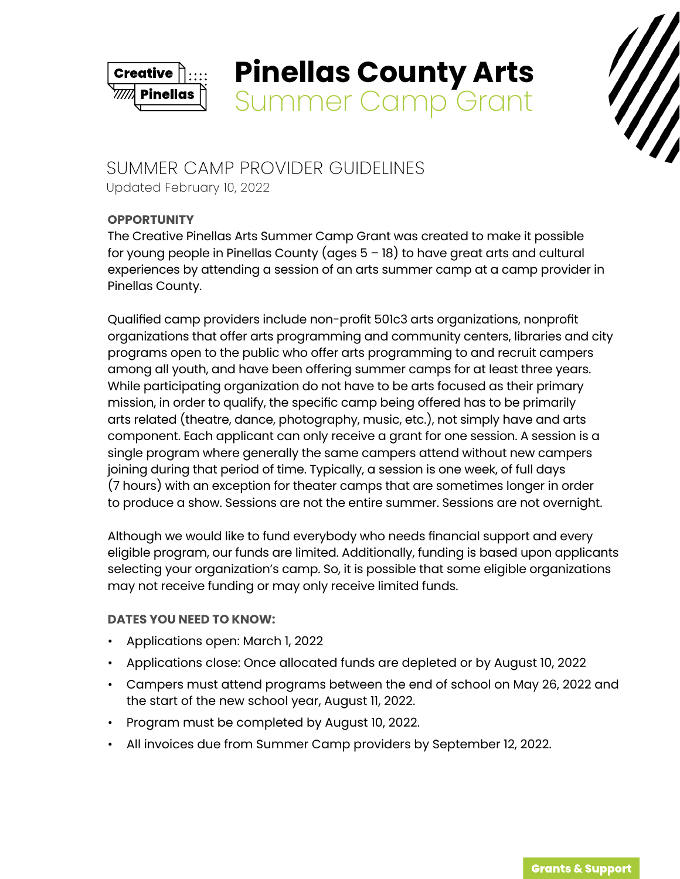

# **Pinellas County Arts**  Summer Camp Grant



# SUMMER CAMP PROVIDER GUIDELINES Updated February 10, 2022

# **OPPORTUNITY**

The Creative Pinellas Arts Summer Camp Grant was created to make it possible for young people in Pinellas County (ages 5 – 18) to have great arts and cultural experiences by attending a session of an arts summer camp at a camp provider in Pinellas County.

Qualified camp providers include non-profit 501c3 arts organizations, nonprofit organizations that offer arts programming and community centers, libraries and city programs open to the public who offer arts programming to and recruit campers among all youth, and have been offering summer camps for at least three years. While participating organization do not have to be arts focused as their primary mission, in order to qualify, the specific camp being offered has to be primarily arts related (theatre, dance, photography, music, etc.), not simply have and arts component. Each applicant can only receive a grant for one session. A session is a single program where generally the same campers attend without new campers joining during that period of time. Typically, a session is one week, of full days (7 hours) with an exception for theater camps that are sometimes longer in order to produce a show. Sessions are not the entire summer. Sessions are not overnight.

Although we would like to fund everybody who needs financial support and every eligible program, our funds are limited. Additionally, funding is based upon applicants selecting your organization's camp. So, it is possible that some eligible organizations may not receive funding or may only receive limited funds.

# **DATES YOU NEED TO KNOW:**

- Applications open: March 1, 2022
- Applications close: Once allocated funds are depleted or by August 10, 2022
- Campers must attend programs between the end of school on May 26, 2022 and the start of the new school year, August 11, 2022.
- Program must be completed by August 10, 2022.
- All invoices due from Summer Camp providers by September 12, 2022.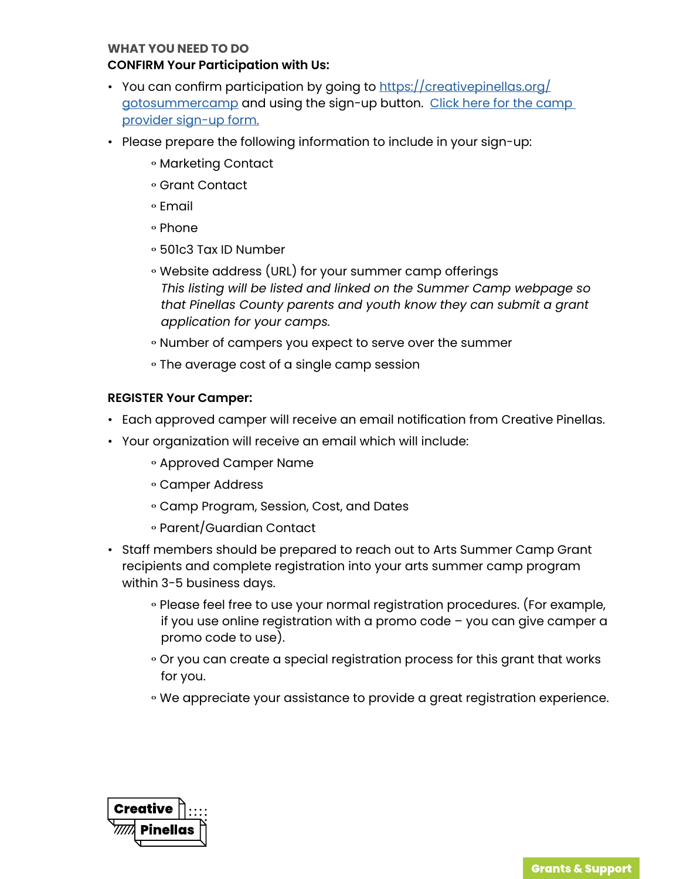#### **WHAT YOU NEED TO DO**

#### **CONFIRM Your Participation with Us:**

- You can confirm participation by going to [https://creativepinellas.org/](https://creativepinellas.org/gotosummercamp) [gotosummercamp](https://creativepinellas.org/gotosummercamp) and using the sign-up button. Click here for the camp [provider sign-up form.](https://creativepinellas.org/form/10369/summer-camp-grant-organization-sign-up/)
- Please prepare the following information to include in your sign-up:
	- Marketing Contact
	- gGrant Contact
	- gEmail
	- o Phone
	- g501c3 Tax ID Number
	- Website address (URL) for your summer camp offerings *This listing will be listed and linked on the Summer Camp webpage so that Pinellas County parents and youth know they can submit a grant application for your camps.*
	- Number of campers you expect to serve over the summer
	- The average cost of a single camp session

#### **REGISTER Your Camper:**

- Each approved camper will receive an email notification from Creative Pinellas.
- Your organization will receive an email which will include:
	- Approved Camper Name
	- Camper Address
	- Camp Program, Session, Cost, and Dates
	- Parent/Guardian Contact
- Staff members should be prepared to reach out to Arts Summer Camp Grant recipients and complete registration into your arts summer camp program within 3-5 business days.
	- Please feel free to use your normal registration procedures. (For example, if you use online registration with a promo code – you can give camper a promo code to use).
	- Or you can create a special registration process for this grant that works for you.
	- We appreciate your assistance to provide a great registration experience.

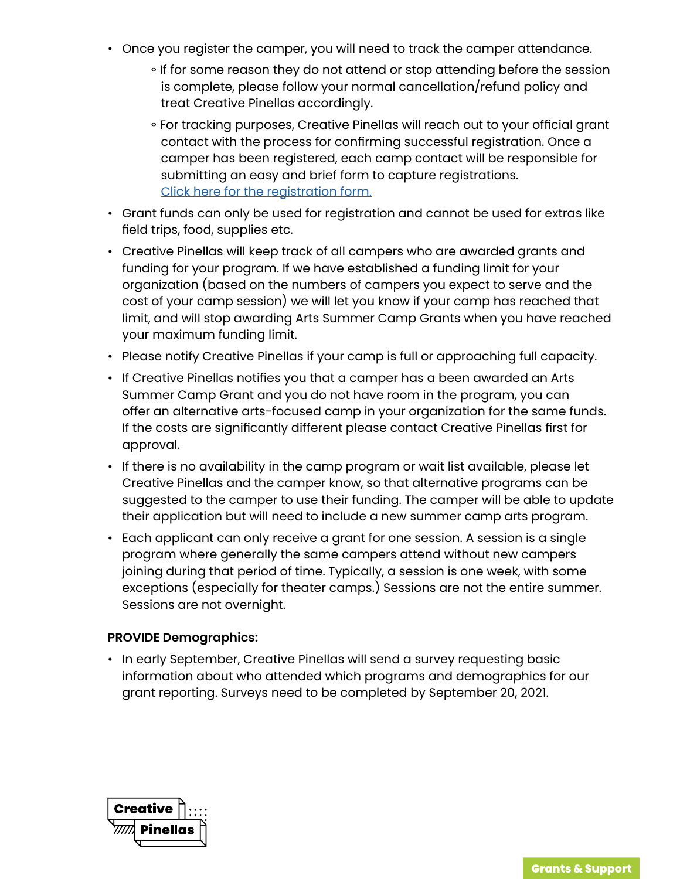- Once you register the camper, you will need to track the camper attendance.
	- $\circ$  If for some reason they do not attend or stop attending before the session is complete, please follow your normal cancellation/refund policy and treat Creative Pinellas accordingly.
	- o For tracking purposes, Creative Pinellas will reach out to your official grant contact with the process for confirming successful registration. Once a camper has been registered, each camp contact will be responsible for submitting an easy and brief form to capture registrations. [Click here for the registration form.](https://creativepinellas.org/form/10975/summer-camp-grant-sign-up-a-camper-form/)
- Grant funds can only be used for registration and cannot be used for extras like field trips, food, supplies etc.
- Creative Pinellas will keep track of all campers who are awarded grants and funding for your program. If we have established a funding limit for your organization (based on the numbers of campers you expect to serve and the cost of your camp session) we will let you know if your camp has reached that limit, and will stop awarding Arts Summer Camp Grants when you have reached your maximum funding limit.
- Please notify Creative Pinellas if your camp is full or approaching full capacity.
- If Creative Pinellas notifies you that a camper has a been awarded an Arts Summer Camp Grant and you do not have room in the program, you can offer an alternative arts-focused camp in your organization for the same funds. If the costs are significantly different please contact Creative Pinellas first for approval.
- If there is no availability in the camp program or wait list available, please let Creative Pinellas and the camper know, so that alternative programs can be suggested to the camper to use their funding. The camper will be able to update their application but will need to include a new summer camp arts program.
- Each applicant can only receive a grant for one session. A session is a single program where generally the same campers attend without new campers joining during that period of time. Typically, a session is one week, with some exceptions (especially for theater camps.) Sessions are not the entire summer. Sessions are not overnight.

# **PROVIDE Demographics:**

• In early September, Creative Pinellas will send a survey requesting basic information about who attended which programs and demographics for our grant reporting. Surveys need to be completed by September 20, 2021.

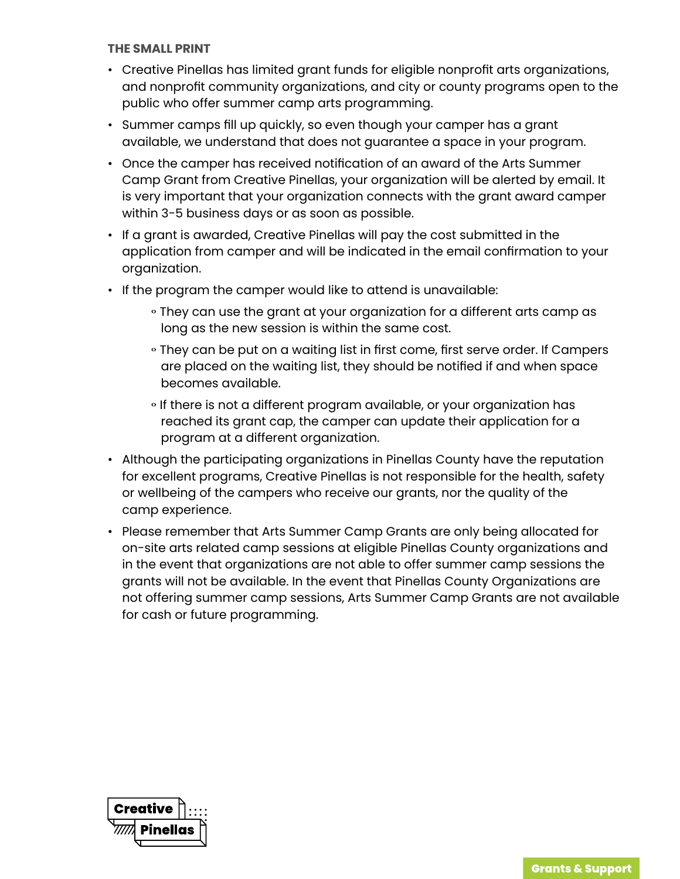#### **THE SMALL PRINT**

- Creative Pinellas has limited grant funds for eligible nonprofit arts organizations, and nonprofit community organizations, and city or county programs open to the public who offer summer camp arts programming.
- Summer camps fill up quickly, so even though your camper has a grant available, we understand that does not guarantee a space in your program.
- Once the camper has received notification of an award of the Arts Summer Camp Grant from Creative Pinellas, your organization will be alerted by email. It is very important that your organization connects with the grant award camper within 3-5 business days or as soon as possible.
- If a grant is awarded, Creative Pinellas will pay the cost submitted in the application from camper and will be indicated in the email confirmation to your organization.
- If the program the camper would like to attend is unavailable:
	- They can use the grant at your organization for a different arts camp as long as the new session is within the same cost.
	- They can be put on a waiting list in first come, first serve order. If Campers are placed on the waiting list, they should be notified if and when space becomes available.
	- If there is not a different program available, or your organization has reached its grant cap, the camper can update their application for a program at a different organization.
- Although the participating organizations in Pinellas County have the reputation for excellent programs, Creative Pinellas is not responsible for the health, safety or wellbeing of the campers who receive our grants, nor the quality of the camp experience.
- Please remember that Arts Summer Camp Grants are only being allocated for on-site arts related camp sessions at eligible Pinellas County organizations and in the event that organizations are not able to offer summer camp sessions the grants will not be available. In the event that Pinellas County Organizations are not offering summer camp sessions, Arts Summer Camp Grants are not available for cash or future programming.